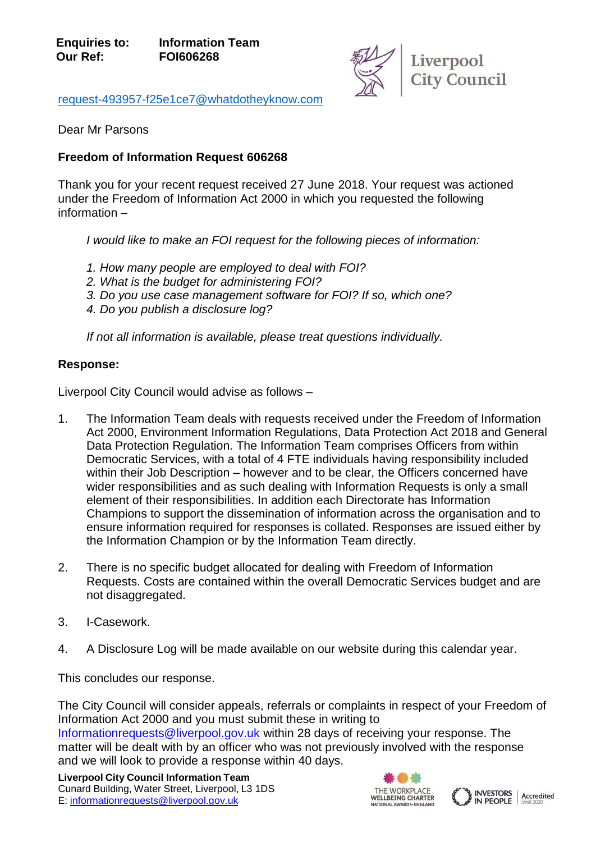

[request-493957-f25e1ce7@whatdotheyknow.com](mailto:xxxxxxxxxxxxxxxxxxxxxxx@xxxxxxxxxxxxxx.xxx)

Dear Mr Parsons

## **Freedom of Information Request 606268**

Thank you for your recent request received 27 June 2018. Your request was actioned under the Freedom of Information Act 2000 in which you requested the following information –

*I would like to make an FOI request for the following pieces of information:*

- *1. How many people are employed to deal with FOI?*
- *2. What is the budget for administering FOI?*
- *3. Do you use case management software for FOI? If so, which one?*
- *4. Do you publish a disclosure log?*

*If not all information is available, please treat questions individually.*

## **Response:**

Liverpool City Council would advise as follows –

- 1. The Information Team deals with requests received under the Freedom of Information Act 2000, Environment Information Regulations, Data Protection Act 2018 and General Data Protection Regulation. The Information Team comprises Officers from within Democratic Services, with a total of 4 FTE individuals having responsibility included within their Job Description – however and to be clear, the Officers concerned have wider responsibilities and as such dealing with Information Requests is only a small element of their responsibilities. In addition each Directorate has Information Champions to support the dissemination of information across the organisation and to ensure information required for responses is collated. Responses are issued either by the Information Champion or by the Information Team directly.
- 2. There is no specific budget allocated for dealing with Freedom of Information Requests. Costs are contained within the overall Democratic Services budget and are not disaggregated.
- 3. I-Casework.
- 4. A Disclosure Log will be made available on our website during this calendar year.

This concludes our response.

The City Council will consider appeals, referrals or complaints in respect of your Freedom of Information Act 2000 and you must submit these in writing to [Informationrequests@liverpool.gov.uk](mailto:xxxxxxxxxxxxxxxxxxx@xxxxxxxxx.xxx.xx) within 28 days of receiving your response. The matter will be dealt with by an officer who was not previously involved with the response and we will look to provide a response within 40 days.

**Liverpool City Council Information Team** Cunard Building, Water Street, Liverpool, L3 1DS E: [informationrequests@liverpool.gov.uk](mailto:xxxxxxxxxxxxxxxxxxx@xxxxxxxxx.xxx.xx)